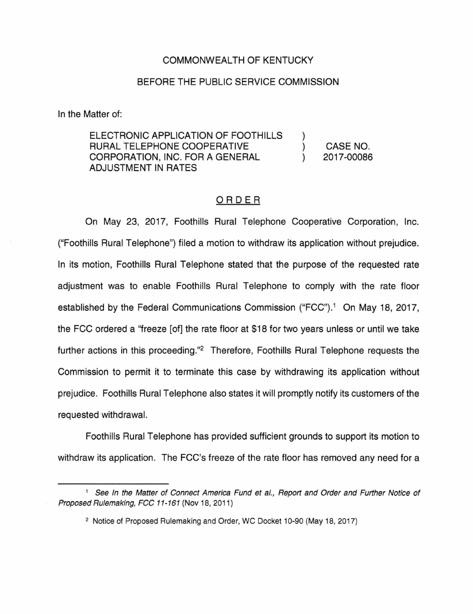## COMMONWEALTH OF KENTUCKY

## BEFORE THE PUBLIC SERVICE COMMISSION

In the Matter of:

ELECTRONIC APPLICATION OF FOOTHILLS RURAL TELEPHONE COOPERATIVE CORPORATION, INC. FOR A GENERAL ADJUSTMENT IN RATES

CASE NO. 2017-00086

) )  $\lambda$ 

## ORDER

On May 23, 2017, Foothills Rural Telephone Cooperative Corporation, Inc. ("Foothills Rural Telephone") filed a motion to withdraw its application without prejudice. In its motion, Foothills Rural Telephone stated that the purpose of the requested rate adjustment was to enable Foothills Rural Telephone to comply with the rate floor established by the Federal Communications Commission ("FCC").<sup>1</sup> On May 18, 2017, the FCC ordered a ''freeze [of] the rate floor at \$18 for two years unless or until we take further actions in this proceeding."<sup>2</sup> Therefore, Foothills Rural Telephone requests the Commission to permit it to terminate this case by withdrawing its application without prejudice. Foothills Rural Telephone also states it will promptly notify its customers of the requested withdrawal.

Foothills Rural Telephone has provided sufficient grounds to support its motion to withdraw its application. The FCC's freeze of the rate floor has removed any need for a

<sup>&</sup>lt;sup>1</sup> See In the Matter of Connect America Fund et al., Report and Order and Further Notice of Proposed Rulemaking, FCC 11-161(Nov18, 2011)

<sup>2</sup> Notice of Proposed Rulemaking and Order, WC Docket 10-90 (May 18, 2017)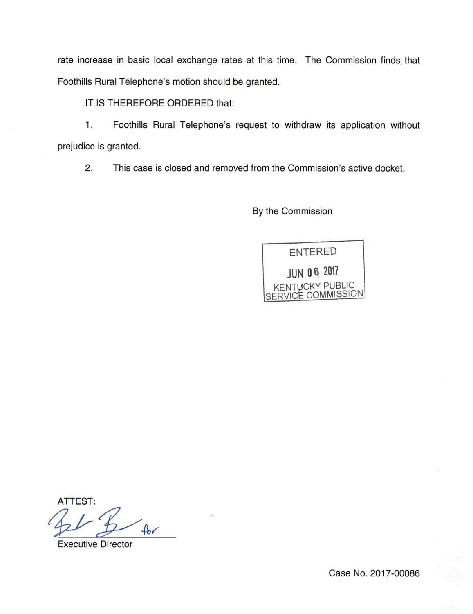rate increase in basic local exchange rates at this time. The Commission finds that Foothills Rural Telephone's motion should be granted.

IT IS THEREFORE ORDERED that:

1. Foothills Rural Telephone's request to withdraw its application without prejudice is granted.

2. This case is closed and removed from the Commission's active docket.

By the Commission



**ATTEST:**  $A$ 

Executive Director

Case No. 2017-00086